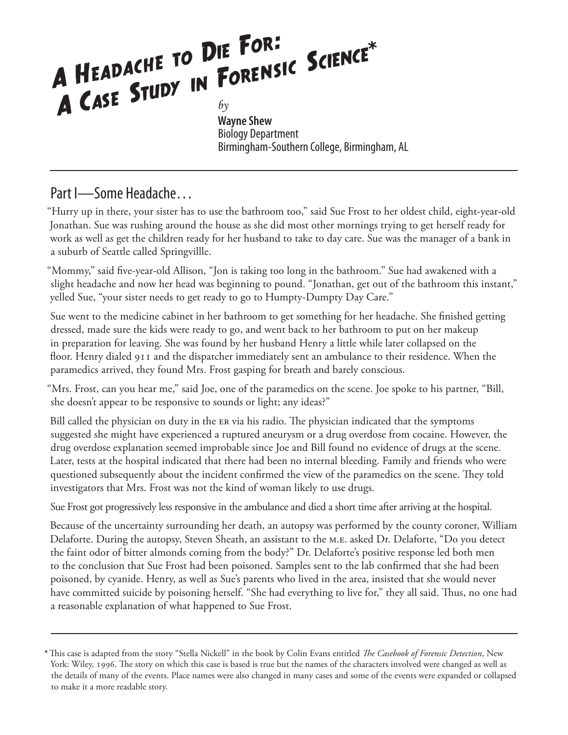# A HEADACHE TO DIE FOR*:* A HEADACHE TO DIE FOR<sub>F</sub><br>A CASE STUDY IN FORENSIC SCIENCE\*

**Wayne Shew** Biology Department Birmingham-Southern College, Birmingham, AL

### Part I—Some Headache…

"Hurry up in there, your sister has to use the bathroom too," said Sue Frost to her oldest child, eight-year-old Jonathan. Sue was rushing around the house as she did most other mornings trying to get herself ready for work as well as get the children ready for her husband to take to day care. Sue was the manager of a bank in a suburb of Seattle called Springvillle.

"Mommy," said five-year-old Allison, "Jon is taking too long in the bathroom." Sue had awakened with a slight headache and now her head was beginning to pound. "Jonathan, get out of the bathroom this instant," yelled Sue, "your sister needs to get ready to go to Humpty-Dumpty Day Care."

Sue went to the medicine cabinet in her bathroom to get something for her headache. She finished getting dressed, made sure the kids were ready to go, and went back to her bathroom to put on her makeup in preparation for leaving. She was found by her husband Henry a little while later collapsed on the floor. Henry dialed 911 and the dispatcher immediately sent an ambulance to their residence. When the paramedics arrived, they found Mrs. Frost gasping for breath and barely conscious.

"Mrs. Frost, can you hear me," said Joe, one of the paramedics on the scene. Joe spoke to his partner, "Bill, she doesn't appear to be responsive to sounds or light; any ideas?"

Bill called the physician on duty in the ER via his radio. The physician indicated that the symptoms suggested she might have experienced a ruptured aneurysm or a drug overdose from cocaine. However, the drug overdose explanation seemed improbable since Joe and Bill found no evidence of drugs at the scene. Later, tests at the hospital indicated that there had been no internal bleeding. Family and friends who were questioned subsequently about the incident confirmed the view of the paramedics on the scene. They told investigators that Mrs. Frost was not the kind of woman likely to use drugs.

Sue Frost got progressively less responsive in the ambulance and died a short time after arriving at the hospital.

Because of the uncertainty surrounding her death, an autopsy was performed by the county coroner, William Delaforte. During the autopsy, Steven Sheath, an assistant to the m.e. asked Dr. Delaforte, "Do you detect the faint odor of bitter almonds coming from the body?" Dr. Delaforte's positive response led both men to the conclusion that Sue Frost had been poisoned. Samples sent to the lab confirmed that she had been poisoned, by cyanide. Henry, as well as Sue's parents who lived in the area, insisted that she would never have committed suicide by poisoning herself. "She had everything to live for," they all said. Thus, no one had a reasonable explanation of what happened to Sue Frost.

<sup>\*</sup> This case is adapted from the story "Stella Nickell" in the book by Colin Evans entitled *The Casebook of Forensic Detection*, New York: Wiley, 1996. The story on which this case is based is true but the names of the characters involved were changed as well as the details of many of the events. Place names were also changed in many cases and some of the events were expanded or collapsed to make it a more readable story.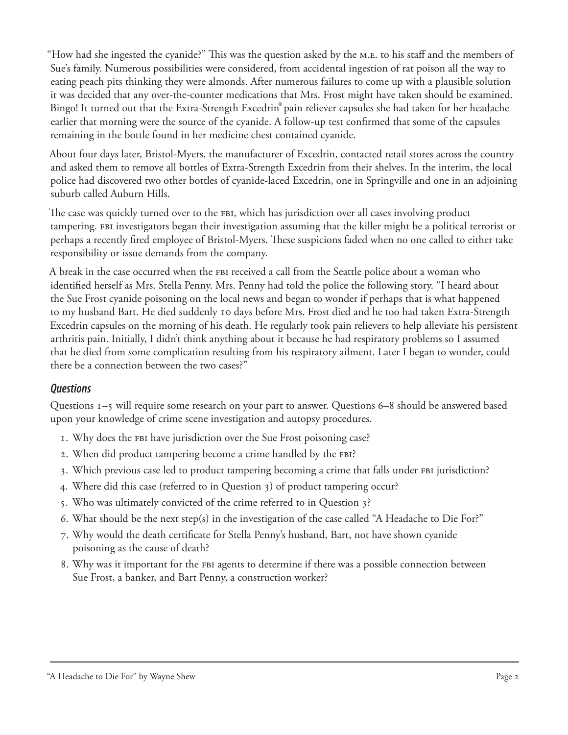"How had she ingested the cyanide?" This was the question asked by the M.E. to his staff and the members of Sue's family. Numerous possibilities were considered, from accidental ingestion of rat poison all the way to eating peach pits thinking they were almonds. After numerous failures to come up with a plausible solution it was decided that any over-the-counter medications that Mrs. Frost might have taken should be examined. Bingo! It turned out that the Extra-Strength Excedrin® pain reliever capsules she had taken for her headache earlier that morning were the source of the cyanide. A follow-up test confirmed that some of the capsules remaining in the bottle found in her medicine chest contained cyanide.

About four days later, Bristol-Myers, the manufacturer of Excedrin, contacted retail stores across the country and asked them to remove all bottles of Extra-Strength Excedrin from their shelves. In the interim, the local police had discovered two other bottles of cyanide-laced Excedrin, one in Springville and one in an adjoining suburb called Auburn Hills.

The case was quickly turned over to the FBI, which has jurisdiction over all cases involving product tampering. fbi investigators began their investigation assuming that the killer might be a political terrorist or perhaps a recently fired employee of Bristol-Myers. These suspicions faded when no one called to either take responsibility or issue demands from the company.

A break in the case occurred when the FBI received a call from the Seattle police about a woman who identified herself as Mrs. Stella Penny. Mrs. Penny had told the police the following story. "I heard about the Sue Frost cyanide poisoning on the local news and began to wonder if perhaps that is what happened to my husband Bart. He died suddenly 10 days before Mrs. Frost died and he too had taken Extra-Strength Excedrin capsules on the morning of his death. He regularly took pain relievers to help alleviate his persistent arthritis pain. Initially, I didn't think anything about it because he had respiratory problems so I assumed that he died from some complication resulting from his respiratory ailment. Later I began to wonder, could there be a connection between the two cases?"

#### *Questions*

Questions 1–5 will require some research on your part to answer. Questions 6–8 should be answered based upon your knowledge of crime scene investigation and autopsy procedures.

- . Why does the fbi have jurisdiction over the Sue Frost poisoning case?
- 2. When did product tampering become a crime handled by the FBI?
- 3. Which previous case led to product tampering becoming a crime that falls under FBI jurisdiction?
- 4. Where did this case (referred to in Question 3) of product tampering occur?
- . Who was ultimately convicted of the crime referred to in Question ?
- . What should be the next step(s) in the investigation of the case called "A Headache to Die For?"
- 7. Why would the death certificate for Stella Penny's husband, Bart, not have shown cyanide poisoning as the cause of death?
- . Why was it important for the fbi agents to determine if there was a possible connection between Sue Frost, a banker, and Bart Penny, a construction worker?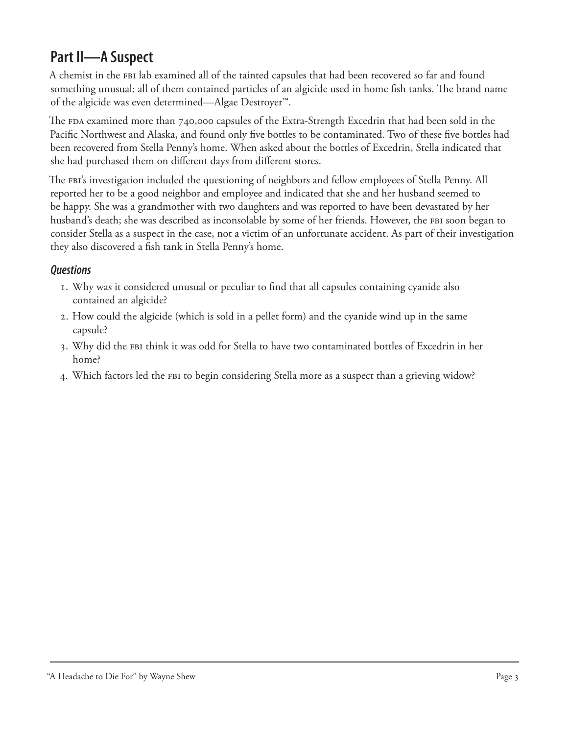## **Part II—A Suspect**

A chemist in the fbi lab examined all of the tainted capsules that had been recovered so far and found something unusual; all of them contained particles of an algicide used in home fish tanks. The brand name of the algicide was even determined—Algae Destroyer™.

The  $FDA$  examined more than 740,000 capsules of the Extra-Strength Excedrin that had been sold in the Pacific Northwest and Alaska, and found only five bottles to be contaminated. Two of these five bottles had been recovered from Stella Penny's home. When asked about the bottles of Excedrin, Stella indicated that she had purchased them on different days from different stores.

The FBI's investigation included the questioning of neighbors and fellow employees of Stella Penny. All reported her to be a good neighbor and employee and indicated that she and her husband seemed to be happy. She was a grandmother with two daughters and was reported to have been devastated by her husband's death; she was described as inconsolable by some of her friends. However, the FBI soon began to consider Stella as a suspect in the case, not a victim of an unfortunate accident. As part of their investigation they also discovered a fish tank in Stella Penny's home.

#### *Questions*

- $I.$  Why was it considered unusual or peculiar to find that all capsules containing cyanide also contained an algicide?
- . How could the algicide (which is sold in a pellet form) and the cyanide wind up in the same capsule?
- 3. Why did the FBI think it was odd for Stella to have two contaminated bottles of Excedrin in her home?
- 4. Which factors led the FBI to begin considering Stella more as a suspect than a grieving widow?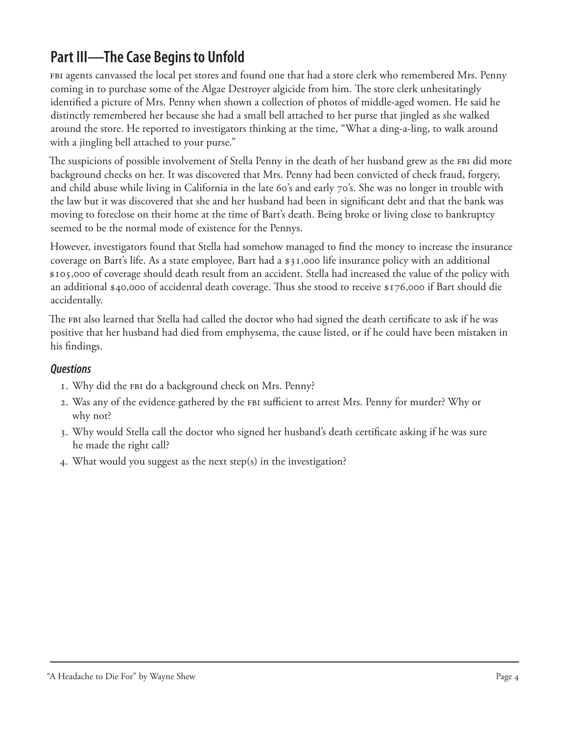## **Part III—The Case Begins to Unfold**

fbi agents canvassed the local pet stores and found one that had a store clerk who remembered Mrs. Penny coming in to purchase some of the Algae Destroyer algicide from him. The store clerk unhesitatingly identified a picture of Mrs. Penny when shown a collection of photos of middle-aged women. He said he distinctly remembered her because she had a small bell attached to her purse that jingled as she walked around the store. He reported to investigators thinking at the time, "What a ding-a-ling, to walk around with a jingling bell attached to your purse."

The suspicions of possible involvement of Stella Penny in the death of her husband grew as the FBI did more background checks on her. It was discovered that Mrs. Penny had been convicted of check fraud, forgery, and child abuse while living in California in the late 60's and early 70's. She was no longer in trouble with the law but it was discovered that she and her husband had been in significant debt and that the bank was moving to foreclose on their home at the time of Bart's death. Being broke or living close to bankruptcy seemed to be the normal mode of existence for the Pennys.

However, investigators found that Stella had somehow managed to find the money to increase the insurance coverage on Bart's life. As a state employee, Bart had a  $\frac{1}{2}$ ,000 life insurance policy with an additional , of coverage should death result from an accident. Stella had increased the value of the policy with an additional \$40,000 of accidental death coverage. Thus she stood to receive  $$176,000$  if Bart should die accidentally.

The FBI also learned that Stella had called the doctor who had signed the death certificate to ask if he was positive that her husband had died from emphysema, the cause listed, or if he could have been mistaken in his findings.

#### *Questions*

- . Why did the fbi do a background check on Mrs. Penny?
- 2. Was any of the evidence gathered by the FBI sufficient to arrest Mrs. Penny for murder? Why or why not?
- 3. Why would Stella call the doctor who signed her husband's death certificate asking if he was sure he made the right call?
- . What would you suggest as the next step(s) in the investigation?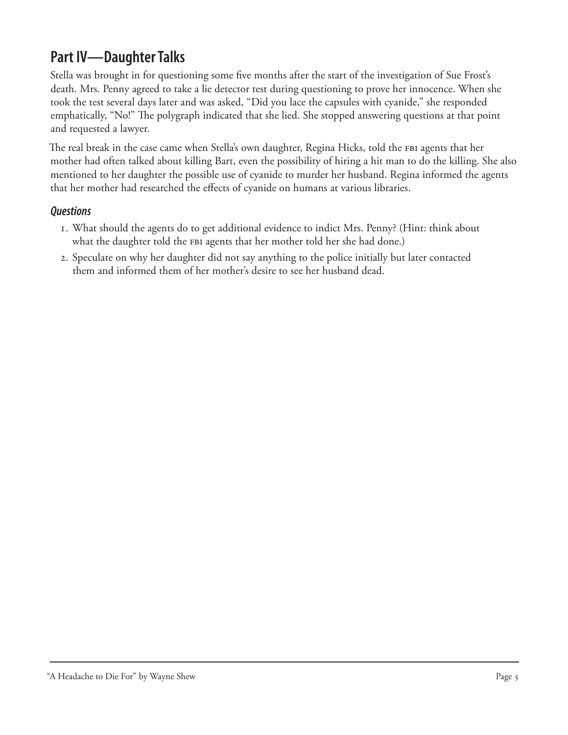## **Part IV—Daughter Talks**

Stella was brought in for questioning some five months after the start of the investigation of Sue Frost's death. Mrs. Penny agreed to take a lie detector test during questioning to prove her innocence. When she took the test several days later and was asked, "Did you lace the capsules with cyanide," she responded emphatically, "No!" The polygraph indicated that she lied. She stopped answering questions at that point and requested a lawyer.

The real break in the case came when Stella's own daughter, Regina Hicks, told the FBI agents that her mother had often talked about killing Bart, even the possibility of hiring a hit man to do the killing. She also mentioned to her daughter the possible use of cyanide to murder her husband. Regina informed the agents that her mother had researched the effects of cyanide on humans at various libraries.

#### *Questions*

- . What should the agents do to get additional evidence to indict Mrs. Penny? (Hint: think about what the daughter told the FBI agents that her mother told her she had done.)
- . Speculate on why her daughter did not say anything to the police initially but later contacted them and informed them of her mother's desire to see her husband dead.